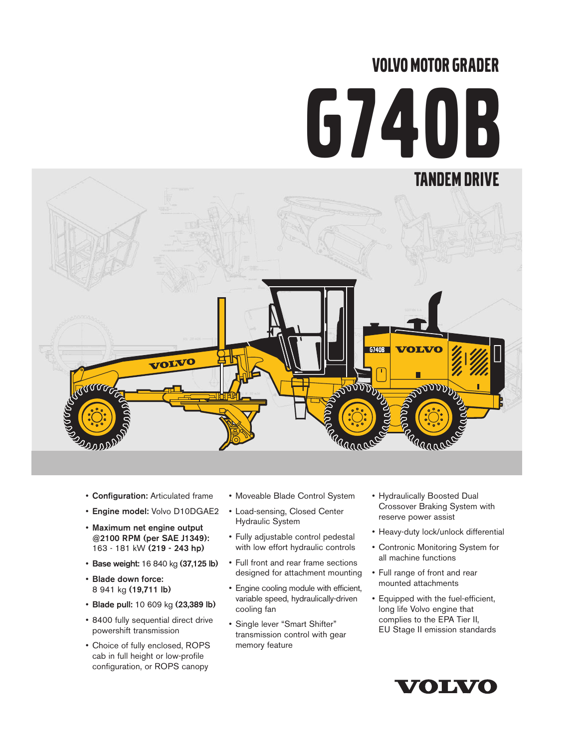# VOLVO MOTOR GRADER G740B



- Configuration: Articulated frame
- Engine model: Volvo D10DGAE2
- Maximum net engine output @2100 RPM (per SAE J1349): 163 - 181 kW (219 - 243 hp)
- Base weight: 16 840 kg (37,125 lb)
- Blade down force: 8 941 kg (19,711 lb)
- Blade pull: 10 609 kg (23,389 lb)
- 8400 fully sequential direct drive powershift transmission
- Choice of fully enclosed, ROPS cab in full height or low-profile configuration, or ROPS canopy
- Moveable Blade Control System
- Load-sensing, Closed Center Hydraulic System
- Fully adjustable control pedestal with low effort hydraulic controls
- Full front and rear frame sections designed for attachment mounting
- Engine cooling module with efficient, variable speed, hydraulically-driven cooling fan
- Single lever "Smart Shifter" transmission control with gear memory feature
- Hydraulically Boosted Dual Crossover Braking System with reserve power assist
- Heavy-duty lock/unlock differential
- Contronic Monitoring System for all machine functions
- Full range of front and rear mounted attachments
- Equipped with the fuel-efficient, long life Volvo engine that complies to the EPA Tier II, EU Stage II emission standards

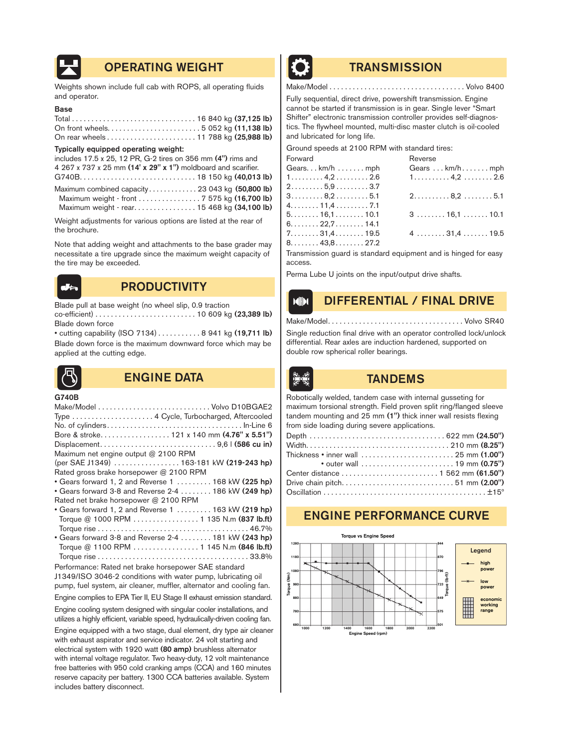

# OPERATING WEIGHT **TRANSMISSION**

Weights shown include full cab with ROPS, all operating fluids and operator.

#### Base

#### Typically equipped operating weight:

| includes 17.5 x 25, 12 PR, G-2 tires on 356 mm (4") rims and  |  |
|---------------------------------------------------------------|--|
| 4 267 x 737 x 25 mm (14' x 29" x 1") moldboard and scarifier. |  |
|                                                               |  |
| Maximum combined capacity 23 043 kg (50,800 lb)               |  |
| Maximum weight - front 7 575 kg (16,700 lb)                   |  |
| Maximum weight - rear. 15 468 kg (34,100 lb)                  |  |

Weight adjustments for various options are listed at the rear of the brochure.

Note that adding weight and attachments to the base grader may necessitate a tire upgrade since the maximum weight capacity of the tire may be exceeded.



# **PRODUCTIVITY**

Blade pull at base weight (no wheel slip, 0.9 traction co-efficient) . . . . . . . . . . . . . . . . . . . . . . . . . . 10 609 kg (23,389 lb) Blade down force

• cutting capability (ISO 7134) . . . . . . . . . . . 8 941 kg (19,711 lb) Blade down force is the maximum downward force which may be applied at the cutting edge.



# ENGINE DATA TANDEMS

G740B

|                                                              | Type  4 Cycle, Turbocharged, Aftercooled                               |
|--------------------------------------------------------------|------------------------------------------------------------------------|
|                                                              |                                                                        |
|                                                              | Bore & stroke 121 x 140 mm (4.76" x 5.51")                             |
|                                                              |                                                                        |
| Maximum net engine output @ 2100 RPM                         |                                                                        |
|                                                              | (per SAE J1349)  163-181 kW (219-243 hp)                               |
| Rated gross brake horsepower @ 2100 RPM                      |                                                                        |
|                                                              | • Gears forward 1, 2 and Reverse 1 $\dots$ 168 kW (225 hp)             |
|                                                              | • Gears forward 3-8 and Reverse 2-4  186 kW (249 hp)                   |
| Rated net brake horsepower @ 2100 RPM                        |                                                                        |
|                                                              | • Gears forward 1, 2 and Reverse 1  163 kW (219 hp)                    |
|                                                              | Torque @ 1000 RPM  1 135 N.m (837 lb.ft)                               |
|                                                              |                                                                        |
|                                                              | • Gears forward 3-8 and Reverse 2-4 181 kW (243 hp)                    |
|                                                              | Torque @ 1100 RPM  1 145 N.m (846 lb.ft)                               |
|                                                              |                                                                        |
| Performance: Rated net brake horsepower SAE standard         |                                                                        |
| J1349/ISO 3046-2 conditions with water pump, lubricating oil |                                                                        |
|                                                              | pump, fuel system, air cleaner, muffler, alternator and cooling fan.   |
|                                                              | Engine complies to EPA Tier II, EU Stage II exhaust emission standard. |

Engine cooling system designed with singular cooler installations, and utilizes a highly efficient, variable speed, hydraulically-driven cooling fan.

Engine equipped with a two stage, dual element, dry type air cleaner with exhaust aspirator and service indicator. 24 volt starting and electrical system with 1920 watt (80 amp) brushless alternator with internal voltage regulator. Two heavy-duty, 12 volt maintenance free batteries with 950 cold cranking amps (CCA) and 160 minutes reserve capacity per battery. 1300 CCA batteries available. System includes battery disconnect.



Make/Model . . . . . . . . . . . . . . . . . . . . . . . . . . . . . . . . . . . Volvo 8400

Fully sequential, direct drive, powershift transmission. Engine cannot be started if transmission is in gear. Single lever "Smart Shifter" electronic transmission controller provides self-diagnostics. The flywheel mounted, multi-disc master clutch is oil-cooled and lubricated for long life.

Ground speeds at 2100 RPM with standard tires:

| Forward                                                | Reverse                                           |
|--------------------------------------------------------|---------------------------------------------------|
| Gearskm/hmm                                            | Gears  km/h mph                                   |
| $1 \ldots \ldots \ldots 4, 2 \ldots \ldots \ldots 2.6$ | $1. \ldots \ldots 4,2 \ldots \ldots 2.6$          |
| $2.\dots \dots .5,9 \dots \dots .3.7$                  |                                                   |
| $3 \ldots 8, 2 \ldots 5.1$                             | $2.\dots\dots\dots8,2\dots\dots.5.1$              |
| 4. 11,4 7.1                                            |                                                   |
| 5. 16,1 10.1                                           | $3 \ldots \ldots \ldots 16, 1 \ldots \ldots 10.1$ |
| 6. 22,7 14.1                                           |                                                   |
| $7. \ldots \ldots 31.4 \ldots \ldots 19.5$             | $4 \ldots \ldots 31.4 \ldots 19.5$                |
| $8. \ldots \ldots 43.8 \ldots \ldots 27.2$             |                                                   |
|                                                        |                                                   |

Transmission guard is standard equipment and is hinged for easy access.

Perma Lube U joints on the input/output drive shafts.

# DIFFERENTIAL / FINAL DRIVE

Make/Model. . . . . . . . . . . . . . . . . . . . . . . . . . . . . . . . . . . Volvo SR40

Single reduction final drive with an operator controlled lock/unlock differential. Rear axles are induction hardened, supported on double row spherical roller bearings.



 $M$ 

Robotically welded, tandem case with internal gusseting for maximum torsional strength. Field proven split ring/flanged sleeve tandem mounting and 25 mm (1") thick inner wall resists flexing from side loading during severe applications.

| Thickness • inner wall $\ldots \ldots \ldots \ldots \ldots \ldots \ldots \ldots$ 25 mm (1.00") |
|------------------------------------------------------------------------------------------------|
| • outer wall $\ldots, \ldots, \ldots, \ldots, \ldots, 19$ mm $(0.75")$                         |
|                                                                                                |
| Drive chain pitch51 mm (2.00")                                                                 |
|                                                                                                |
|                                                                                                |

# ENGINE PERFORMANCE CURVE

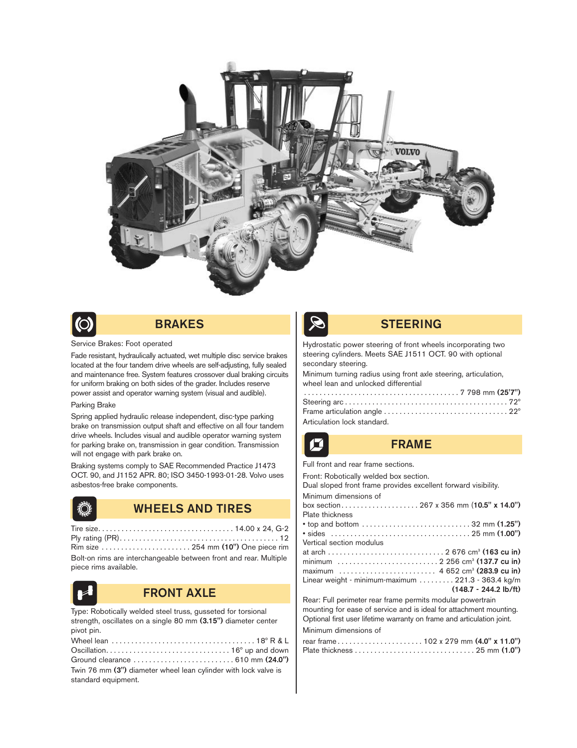



# BRAKES

#### Service Brakes: Foot operated

Fade resistant, hydraulically actuated, wet multiple disc service brakes located at the four tandem drive wheels are self-adjusting, fully sealed and maintenance free. System features crossover dual braking circuits for uniform braking on both sides of the grader. Includes reserve power assist and operator warning system (visual and audible).

#### Parking Brake

Spring applied hydraulic release independent, disc-type parking brake on transmission output shaft and effective on all four tandem drive wheels. Includes visual and audible operator warning system for parking brake on, transmission in gear condition. Transmission will not engage with park brake on.

Braking systems comply to SAE Recommended Practice J1473 OCT. 90, and J1152 APR. 80; ISO 3450-1993-01-28. Volvo uses asbestos-free brake components.

| Ď. |
|----|
|    |
|    |
|    |
|    |

# WHEELS AND TIRES

| Rim size  254 mm (10") One piece rim                              |  |
|-------------------------------------------------------------------|--|
| Bolt-on rims are interchangeable between front and rear. Multiple |  |
| piece rims available.                                             |  |



## FRONT AXLE

Type: Robotically welded steel truss, gusseted for torsional strength, oscillates on a single 80 mm (3.15") diameter center pivot pin.

| Wheel lean $\ldots \ldots \ldots \ldots \ldots \ldots \ldots \ldots \ldots \ldots \ldots \ldots$ 18° R & L |
|------------------------------------------------------------------------------------------------------------|
|                                                                                                            |
|                                                                                                            |
| Twin 76 mm (3") diameter wheel lean cylinder with lock valve is                                            |
| standard equipment.                                                                                        |



### STEERING

Hydrostatic power steering of front wheels incorporating two steering cylinders. Meets SAE J1511 OCT. 90 with optional secondary steering.

Minimum turning radius using front axle steering, articulation, wheel lean and unlocked differential

| Articulation lock standard. |
|-----------------------------|

## FRAME

Full front and rear frame sections.

| Front: Robotically welded box section.                                 |
|------------------------------------------------------------------------|
| Dual sloped front frame provides excellent forward visibility.         |
| Minimum dimensions of                                                  |
|                                                                        |
| Plate thickness                                                        |
|                                                                        |
|                                                                        |
| Vertical section modulus                                               |
|                                                                        |
|                                                                        |
| maximum  4 652 cm <sup>3</sup> (283.9 cu in)                           |
| Linear weight - minimum-maximum 221.3 - 363.4 kg/m                     |
| $(148.7 - 244.2 \text{ lb/ft})$                                        |
| Rear: Full perimeter rear frame permits modular powertrain             |
| mounting for ease of service and is ideal for attachment mounting.     |
| Optional first user lifetime warranty on frame and articulation joint. |
| Minimum dimensions of                                                  |
|                                                                        |
|                                                                        |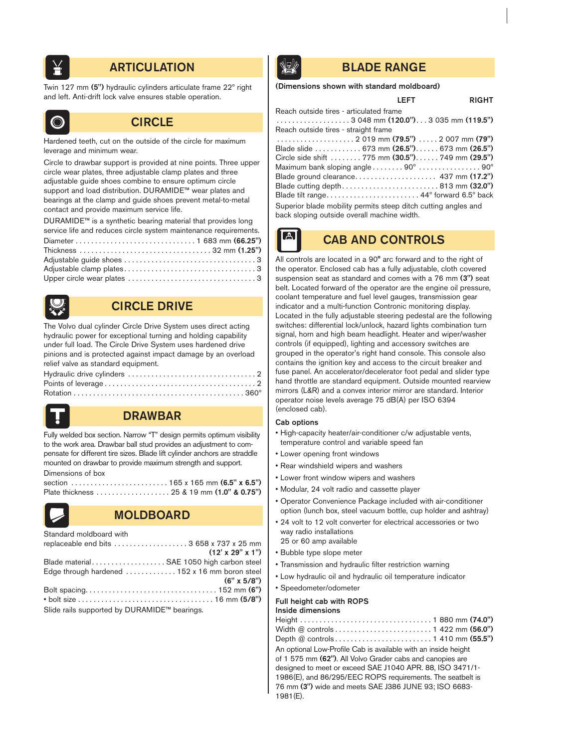

# **ARTICULATION BLADE RANGE**

Twin 127 mm (5") hydraulic cylinders articulate frame 22º right and left. Anti-drift lock valve ensures stable operation.



## **CIRCLE**

Hardened teeth, cut on the outside of the circle for maximum leverage and minimum wear.

Circle to drawbar support is provided at nine points. Three upper circle wear plates, three adjustable clamp plates and three adjustable guide shoes combine to ensure optimum circle support and load distribution. DURAMIDE™ wear plates and bearings at the clamp and guide shoes prevent metal-to-metal contact and provide maximum service life.

DURAMIDE™ is a synthetic bearing material that provides long service life and reduces circle system maintenance requirements. Diameter . . . . . . . . . . . . . . . . . . . . . . . . . . . . . . . 1 683 mm (66.25") Thickness . . . . . . . . . . . . . . . . . . . . . . . . . . . . . . . . . . 32 mm (1.25") Adjustable guide shoes . . . . . . . . . . . . . . . . . . . . . . . . . . . . . . . . . . 3 Adjustable clamp plates . . . . . . . . . . . . . . . . . . . . . . . . . . . . . . . . . . 3



# CIRCLE DRIVE

Upper circle wear plates . . . . . . . . . . . . . . . . . . . . . . . . . . . . . . . . . 3

The Volvo dual cylinder Circle Drive System uses direct acting hydraulic power for exceptional turning and holding capability under full load. The Circle Drive System uses hardened drive pinions and is protected against impact damage by an overload relief valve as standard equipment.



# DRAWBAR

Fully welded box section. Narrow "T" design permits optimum visibility to the work area. Drawbar ball stud provides an adjustment to compensate for different tire sizes. Blade lift cylinder anchors are straddle mounted on drawbar to provide maximum strength and support. Dimensions of box



# MOLDBOARD

| Standard moldboard with                        |                                |
|------------------------------------------------|--------------------------------|
| replaceable end bits  3 658 x 737 x 25 mm      |                                |
|                                                | $(12' \times 29'' \times 1'')$ |
| Blade material SAE 1050 high carbon steel      |                                |
| Edge through hardened  152 x 16 mm boron steel |                                |
|                                                | $(6" \times 5/8")$             |
|                                                |                                |
|                                                |                                |
| Slide rails supported by DURAMIDE™ bearings.   |                                |

 $\mathbf{A}$ 

#### (Dimensions shown with standard moldboard)

### LEFT RIGHT

| Reach outside tires – articulated frame                                            |
|------------------------------------------------------------------------------------|
| $\ldots \ldots \ldots \ldots \ldots \ldots$ 3 048 mm (120.0") 3 035 mm (119.5")    |
| Reach outside tires - straight frame                                               |
|                                                                                    |
| Blade slide 673 mm <b>(26.5")</b> . 673 mm <b>(26.5")</b>                          |
| Circle side shift  775 mm (30.5") 749 mm (29.5")                                   |
| Maximum bank sloping angle $\dots \dots 90^\circ \dots \dots \dots \dots 90^\circ$ |
|                                                                                    |
| Blade cutting depth813 mm $(32.0")$                                                |
|                                                                                    |
| Superior blade mobility permits steep ditch cutting angles and                     |
| back sloping outside overall machine width.                                        |
|                                                                                    |

# CAB AND CONTROLS

All controls are located in a 90° arc forward and to the right of the operator. Enclosed cab has a fully adjustable, cloth covered suspension seat as standard and comes with a 76 mm (3") seat belt. Located forward of the operator are the engine oil pressure, coolant temperature and fuel level gauges, transmission gear indicator and a multi-function Contronic monitoring display. Located in the fully adjustable steering pedestal are the following switches: differential lock/unlock, hazard lights combination turn signal, horn and high beam headlight. Heater and wiper/washer controls (if equipped), lighting and accessory switches are grouped in the operator's right hand console. This console also contains the ignition key and access to the circuit breaker and fuse panel. An accelerator/decelerator foot pedal and slider type hand throttle are standard equipment. Outside mounted rearview mirrors (L&R) and a convex interior mirror are standard. Interior operator noise levels average 75 dB(A) per ISO 6394 (enclosed cab).

#### Cab options

- High-capacity heater/air-conditioner c/w adjustable vents, temperature control and variable speed fan
- Lower opening front windows
- Rear windshield wipers and washers
- Lower front window wipers and washers
- Modular, 24 volt radio and cassette player
- Operator Convenience Package included with air-conditioner option (lunch box, steel vacuum bottle, cup holder and ashtray)
- 24 volt to 12 volt converter for electrical accessories or two way radio installations 25 or 60 amp available
- Bubble type slope meter
- Transmission and hydraulic filter restriction warning
- Low hydraulic oil and hydraulic oil temperature indicator
- Speedometer/odometer

#### Full height cab with ROPS

#### Inside dimensions

| An optional Low-Profile Cab is available with an inside height<br>of 1 575 mm (62"). All Volvo Grader cabs and canopies are<br>designed to meet or exceed SAE J1040 APR. 88, ISO 3471/1-<br>1986(E), and 86/295/EEC ROPS requirements. The seatbelt is<br>76 mm (3") wide and meets SAE J386 JUNE 93: ISO 6683-<br>1981(E). |
|-----------------------------------------------------------------------------------------------------------------------------------------------------------------------------------------------------------------------------------------------------------------------------------------------------------------------------|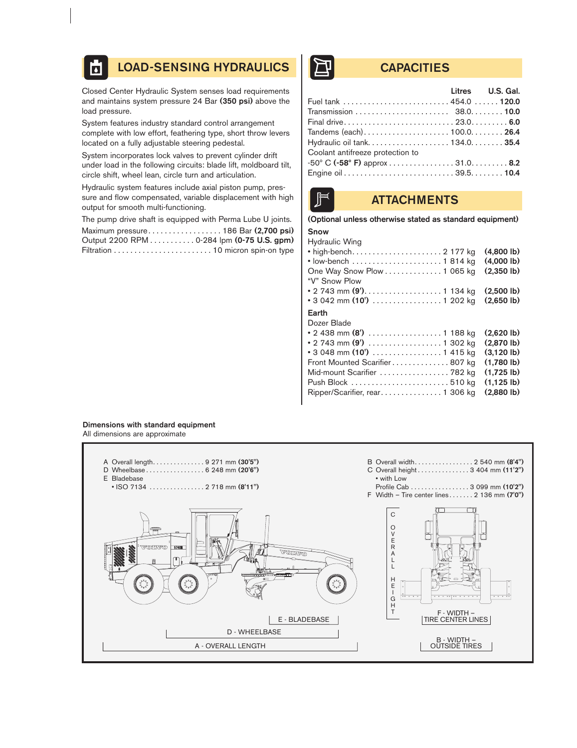#### LOAD-SENSING HYDRAULICS | THE CAPACITIES  $\overline{\mathbf{b}}$

Closed Center Hydraulic System senses load requirements and maintains system pressure 24 Bar (350 psi) above the load pressure.

System features industry standard control arrangement complete with low effort, feathering type, short throw levers located on a fully adjustable steering pedestal.

System incorporates lock valves to prevent cylinder drift under load in the following circuits: blade lift, moldboard tilt, circle shift, wheel lean, circle turn and articulation.

Hydraulic system features include axial piston pump, pressure and flow compensated, variable displacement with high output for smooth multi-functioning.

The pump drive shaft is equipped with Perma Lube U joints. Maximum pressure. . . . . . . . . . . . . . . . . . 186 Bar (2,700 psi) Output 2200 RPM . . . . . . . . . . . 0-284 lpm (0-75 U.S. gpm) Filtration . . . . . . . . . . . . . . . . . . . . . . . . 10 micron spin-on type

| <b>Example 12 Litres U.S. Gal.</b> |  |
|------------------------------------|--|
| Fuel tank  454.0  120.0            |  |
|                                    |  |
|                                    |  |
|                                    |  |
|                                    |  |
| Coolant antifreeze protection to   |  |
|                                    |  |
|                                    |  |

# **ATTACHMENTS**

# (Optional unless otherwise stated as standard equipment)

#### Snow Hydraulic Wing

| <b>Hydraulic VVIIIU</b><br>One Way Snow Plow 1 065 kg<br>"V" Snow Plow<br>• 2 743 mm (9'). 1 134 kg                                                                               | $(4.800 \, lb)$<br>$(4,000 \, lb)$<br>$(2,350 \, lb)$<br>$(2.500 \, lb)$                                           |
|-----------------------------------------------------------------------------------------------------------------------------------------------------------------------------------|--------------------------------------------------------------------------------------------------------------------|
| • 3 042 mm (10') $\ldots \ldots \ldots \ldots \ldots$ 1 202 kg<br>Earth                                                                                                           | $(2,650 \, lb)$                                                                                                    |
| Dozer Blade<br>• 3 048 mm (10') $\ldots \ldots \ldots \ldots \ldots 1$ 415 kg<br>Front Mounted Scarifier 807 kg<br>Mid-mount Scarifier  782 kg<br>Ripper/Scarifier, rear 1 306 kg | $(2.620 \, lb)$<br>(2.870)<br>$(3.120 \, lb)$<br>$(1.780 \, lb)$<br>$(1.725 \, lb)$<br>$(1, 125 \, lb)$<br>(2.880) |

#### Dimensions with standard equipment All dimensions are approximate